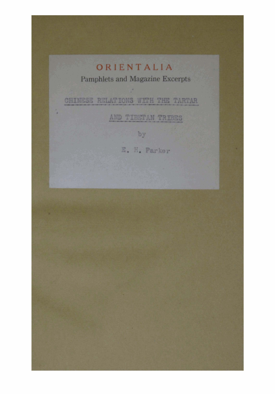## ORIENTALIA

**Pamphlets and Magazine Excerpts** 

CHINESE RELATIONS WITH THE TARTAR

AND TIBETAN TRIBES

by

E. H. Parker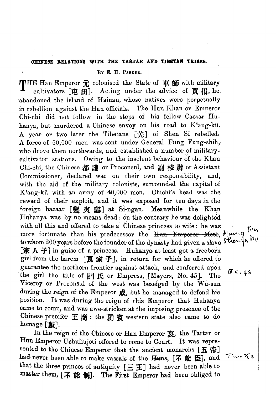## **CHINESE RELATIONS WITH THE TABTAR AND TIBETAN TEIBEB.**

BY E. H. PARKER.

 $\overline{1}$ 

THE Han Emperor 元 colonised the State of 車師 with military cultivators  $[\mathbf{\vec{\mu}} \; \mathbf{H}]$ . Acting under the advice of  $\mathbf{\vec{g}}$   $\mathbf{\vec{h}}$ , he. abandoned the island of Hainan, whose natives were perpetually in rebellion against the Han officials. The Hun Khan or Emperor Chi-chi did not follow in the steps of his fellow Caesar Huhanya, but murdered a Chinese envoy on his road to K'ang-kü. A year or two later the Tibetans [羌] of Shen Si rebelled. **A** force of 60,000 men was sent under General Fung Fung-shih,, who drove them northwards, and established a number of militarycultivator stations. Owing to the insolent behaviour of the Khan Chi-chi, the Chinese 都 謹 or Proconsul, and 副 校 尉 or Assistant Commissioner, declared war on their own responsibility, and, with tho aid of the military colonists, surrounded the capital of  $K$ 'ang-kü with an army of  $40,000$  men. Chichi's head was the reward of their exploit, and it was exposed for ten days in tho foreign bazaar [@ **a]** at Si-ngan. Meanwhile the Khan Huhanya was by no means dead : on the contrary he was delighted with all this and offered to take a Chinese princess to wife: he was more fortunate than his predecessor the  $\frac{H_{\text{un}} - F_{\text{m}}}{H_{\text{un}} - F_{\text{m}} + H_{\text{un}} + H_{\text{un}} + H_{\text{un}} + H_{\text{un}} + H_{\text{un}} + H_{\text{un}} + H_{\text{un}} + H_{\text{un}} + H_{\text{un}} + H_{\text{un}} + H_{\text{un}} + H_{\text{un}} + H_{\text{un}} + H_{\text{un}} + H_{\text{un}} + H_{\text{un}} + H_{\text{un}} + H_{\text{un}} + H$ to whom 200 years before the founder of the dynasty had given a slave  $s^2$  be  $\sqrt{4}$  $[$  **[家 人 子**] in guise of a princess. Huhanya at least got a freeborn girl from the harem  $[\mathbf{\mathbb{E}} \, \mathbf{\hat{*}} \, \mathbf{\hat{-}}]$ , in return for which he offered to guarantee the northern frontier against attack, and conferred upon fuarance the northern fromther against attacks, and computed upon  $\mathbf{g}$ .c. 45<br>the girl the title of  $\mathbb{E}$  **f**.c. Empress, [Mayers, No. 45]. The Viceroy or Proconsul of the weet was beseiged by the Wu-sun during the reign of the Emperor  $\pi$ , but he managed to defend his position. It was during the reign of this Emperor that Huhanya came to court, and was awe-stricken at the imposing presence of the Chinese premier  $\pm$   $\mathbb{\ddot{B}}$ : the  $\mathbb{\ddot{B}}$   $\mathbb{\ddot{B}}$  western state also came to do homage **[獻]**.

In the reign of the Chinese or Han Emperor **X,** the Tartar or Hun Emperor Uchuliujoti offered to come to Court. It **was** represented to the Chinese Emperor that the ancient monarchs  $[\mathbf{\mathbf{\mathcal{H}}} \; \mathbf{\mathfrak{F}}]$ had never been able to make vassals of the  $\overline{H}$ <sub>x</sub>,  $[\overline{K}$  **if**  $\mathbf{E}]$ , and that the three princes of antiquity  $[\equiv \pm]$  had never been able to **master them, [不 能 制].** The First Emperor had been obliged to

I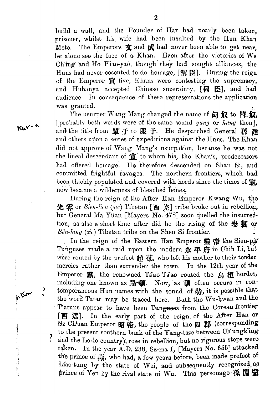build a wall, and the Founder of Han had nearly been taken. prisoner, whilst his wife had been insulted by the Hun Khan Mete. The Emperors  $\mathbf{\dot{x}}$  and  $\mathbf{\dot{x}}$  had never been able to get near. let alone see the face of a Khan. Even after the victories of We Ch'ing and Ho P'iao-yao, though they had sought alliances, the Huns had never cosented to do homage, [稱臣]. During the reign of the Emperor fi five, Khans were contesting the supremacy, and Huhanya accepted Chinese suzerainty, [稱臣], and had audience. In consequence of these representations the application was granted.

The usurper Wang Mang changed the name of  $\widehat{\omega}$  of  $\widehat{w}$  to  $\widehat{\mathbb{R}}$ ,  $\widehat{w}$ , [probably both words were of the same sound *yung* or *hung* then]. and the title from 置于to 服于. He despatched General 孫 律 and others upon a series of expeditions against the Huns. The Khan did not approve of Wang Mang's usurpation, because he was not the lineal descendant of  $\vec{a}$ , to whom his, the Khan's, predecessors had offered homage. He therefore descended on Shan Si, and committed frightful ravages. The northern frontiers, which had been thickly populated and covered with herds since the times of  $\ddot{\mathbf{g}}$ , now became a wilderness of bleached bones.

During the reign of the After Han Emperor Kwang Wu, the 先案 or Sien-lien (sic) Tibetan [西 羌] tribe broke out in rebellion, but General Ma Yüan [Mayers No. 478] soon quelled the insurrection, as also a short time after did he the rising of the **參**<br> **W** or  $S\hat{e}n$ -lang (sic) Tibetan tribe on the Shen Si frontier.

In the reign of the Eastern Han Emperor 靈帝 the Sien-pit Tunguses made a raid upon the modern  $\mathbb R$   $\mathbb F$  iff in Chih Li, but were routed by the prefect  $m$   $\ddot{\phi}$ , who left his mother to their tender mercies rather than surrender the town. In the 12th year of the Emperor 獻, the renowned Ts'ao Ts'ao routed the 鳥桓 hordes, including one known as 蹋懂. Now, as 頔 often occurs in contemporaneous Hun names with the sound of  $#$ , it is possible that the word Tatar may be traced here. Buth the Wu-hwan and the T'atuns appear to have been Tunguses from the Corean frontier [西 遼]. In the early part of the reign of the After Han or Sz Ch'uan Emperor 昭帝, the people of the 四郡 (corresponding to the present southern bank of the Yang-tsze between Ch'ungk'ing  $\mathcal{L}$ and the Lo-lo country), rose in rebellion, but no rigorous steps were taken. In the year A.D. 238, Sz-ma I, [Mayers No. 655] attacked the prince of  $\frac{1}{2}$ , who had, a few years before, been made prefect of Liao-tung by the state of Wei, and subsequently recognized as prince of Yen by the rival state of Wu. This personage 孫 淵 樹

 $K<sub>cor-</sub>$ 

**Prom**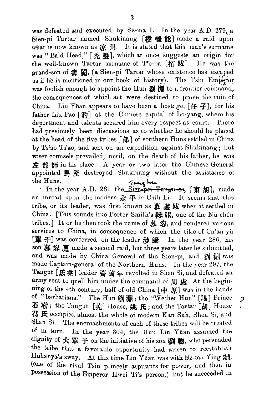was defeated and executed by Sz-ma I. In the year A.D. 279, a Sien-pi Tartar named Shukinang [樹 機 能] made a raid upon what is now known as  $\dot{\mathcal{R}}$   $\dot{\mathcal{H}}$ . It is stated that this man's surname was "Bald Head," [秃 影], which at once suggests an origin for the well-known Tartar surname of T<sup> $\circ$ </sup>o-ba [拓跋]. He was the grand-son of **壽 闐**, (a Sien-pi Tartar whose existence has escaped us if he is mentioned in our book of history). The Tsin Emperor was foolish enough to appoint the Hun  $\mathbb{Z}$   $\mathbb{R}$  to a frontier command, the consequences of which act were destined to prove the ruin of China. Liu Yüan appears to have been a hostage,  $[$   $\uparrow$   $\uparrow$  $]$ , for his father Liu Pao  $\lceil \frac{24}{3} \rceil$  at the Chinese capital of Lo-yang, where his deportment and talents secured him every respect at court. There had previously been discussions as to whether he should be placed .&t the head of the five tribes **[s]** of southern Huns settled in China by Ts'ao Ts'ao, and sent on an expedition against Slukinang; but wiser counsels prevailed, until, on the death of his father, he was  $\#$   $\#$   $\#$   $\#$  in his place. A year or two later the Chinese General appointed  $\mathbb{R}$   $\mathscr{L}$  destroyed Shukinang without the assistance of

the Huns.<br>In the year A.D. 281 the Sien-poi-Tungues, [**The** *fill*], made an inroad upon the modern  $\frac{1}{N} \nightharpoonup$  in Chih Li. It seems that this tribe, or its leader, was first known as 慕 護 跋 when it settled in China. [This sounds like Porter Smith's **銇 锡**, one of the Nu-chên tribes.] It or he then took the name of 慕 容, and rendered various services to China, in consequence of which the title of Ch'an-yu [單 子] was conferred on the leader 涉 歸. In the year 286, his son 慕容廆 made a second raid, but three years later he submitted, and was made by China General of the Sien-pi, and 劉 淵 was made Captain-general of the Northern Huns. In the year 297, the Tangut [氏羌] leader 齊萬年 revolted in Shen Si, and defeated an army sent to quell him under the command of 周處. At the beginning of the 4th century, half of old China [中 原] was in the hands of "barbarians." The Hun 劉 淵; the "Wether Hun" [羯] Prince 2  $\overline{A}$  勒; the Tangut [羌] House, 姚 氏; and the Tartar [胡] House **符氏** occupied almost the whole of modern Kan Suh, Shen Si, and Shan Si. The encroachments of each of these tribes will be treated of in turn. In the year 304, the Hun Liu Yüan assumed the dignity of 大單 于 on the initiative of his son 劉聰, who persuaded the tribe that a favorable opportunity had arisen to recatablish Huhanya's sway. At this time Liu Yüan was with Sz-ma Ying **熱** (one of the rival Tsin princely aspirants for power, and then in possession of the Emperor Hwei Ti's person,) but he succeeded in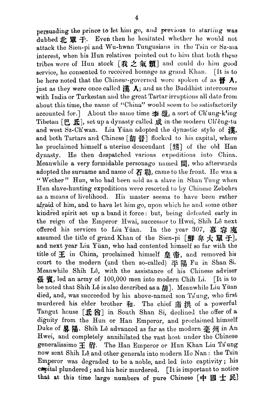persuading the prince to let him go, and previous to starting was dubbed 北 單 子. Even then he hesitated whether he would not attack the Sien-pi and Wu-hwan Tungusians in the Tsin or Sz-ma interest, when his Hun relatives pointed out to him that both these tribes were of Hun stock [我之氣類] and could do him good service, he consented to received homage as grand Khan. [It is to be here noted that the Chinese-governed wore spoken of as  $\mathbf{\mathfrak{B}}\cdot\mathbf{\Lambda}$ , just as they were once called  $\sharp \sharp \Lambda$ ; and as the Buddhist intercourse with India or Turkestan and the great Tartar irruptions all date from about this time, the name of "China" would seem to be satisfactorily accounted for.] About the same time  $\pm \frac{d}{dx}$ , a sort of Ch'ung-k'ing Tibetan [巴 氏], set up a dynasty called 成 in the modern Clieng-tu and west Sz-Ch'wan. Liu Yüan adopted the dynastic style of  $\ddot{\mathbf{g}},$ and both Tartars and Chinese [胡 晉] flocked to his capital, where lie proclaimed himself a uterine descendant [甥] of the old Han  $\alpha$  dynasty. He then despatched various expeditions into China. Meanwhile a very formidable personage named 間, who afterwards adopted the surname and name of  $\boldsymbol{\mathcal{F}}$   $\boldsymbol{\mathcal{F}}$ ), came to the front. He was a " Wether" Hun, who had been sold as a slave in Shan Tung when Hun slave-hunting expeditions were resorted to by Chinese Zebehrs as a means of livelihood. His master seems to have been rather afraid of him, and to have let him go, upon which he and some other kindred spirit set up a band it force: but, being defeated early in the reign of the Emperor Hwai, successor to Hwei, Shih Lê next offered his services to Liu Yuan. In the year 307, *8* **3**  assumed the title of grand Khan of the Sien-pi [鮮卑大單于], and next year Liu Yüan, who had contented himself so far with the title of  $\pm$  in China, proclaimed himself  $\pm \pi$ , and removed his court to the modern (and then so-called) 平陽 Fu in Shan Si. Meanwhile Shih Lê, with the assistance of his Chinese adviser **\$E s,** led an army of 100,000 men into modern Chih Li. [It is to be noted that Shih Lê is also described as a *h*. Meanwhile Liu Yüan died, and, was succeeded by his above-named son Ts'ung, who first murdered his elder brother 和. The chief 滿 洪 of a powerful Tangut house [氏窗] in South Shan Si, declined the offer of a dignity from the Hun or Han Emperor, and proclaimed himself Duke of **畧 陽**. Shih Lê advanced as far as the modern 毫 州 in An Hwei, and completely annihilated the vast host under the Chinese generalissimo 王 衍. The Han Emperor or Hun Khan Liu Ts<sup>t</sup>ung now sent Shih Lê and other generals into modern Ho Nan : the Tsin Emperor was degraded to be a noble, and led into captivity; his  $\texttt{cmp}$  was degraded to be a noble, and led into captivity; his  $\texttt{cmp}$  independent to notice compital plundered; and his heir murdered. [It is important to not that at this time large numbers of pure Chinese  $[$   $\#$   $\boxtimes$   $\pm$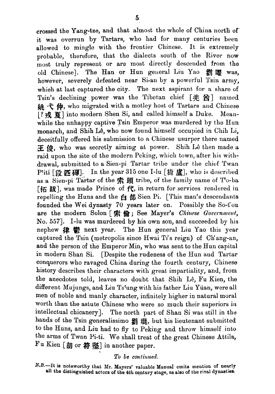crossed the Yang-tze, and that almost the whole of China north of' it was overrun by Tartars, who had for many centuries been allowed to mingle with the frontier Chinese. It is extremely probable, therefore, that the dialects south of the River now most truly represent or are most directly descended from the old Chinese]. The Han or Hun general Liu Yao a 函 me was, however, severely defeated near Si-an by a powerful Tsin army, which at last captured the city. The next aspirant for a share of Tsin's declining power was the Tibetan chief **[s B]** named # **4 仲**, who migrated with a motley host of Tartars and Chinese<br>[?戎夏] into modern Shen Si, and called himself a Duke. Meanwhile the unhappy captive Tsin Emperor was murdered by the Hun monarch, and Shih Lê, who now found himself occupied in Chih Li. deceitfully offered his submission to **n** Chinese usurper there named  $\mathbb H$   $\mathscr G$ , who was secretly aiming at power. Shih Lê then made a raid upon the site of the modern Peking, which town, after his withdrawal, submitted to a Sien-pi Tartar tribe under the chief Twan Pfiti [g. tn. In the year **315** one I-lu [@ a], who is described as a Sien-pi Tartar of the 索頭 tribe, of the family name of To-ba<br>[拓跋], was made Prince of **代**, in return for services rendered in raid upon the site of the modern Peking, which town, after his with-<br>drawal, submitted to a Sien-pi Tartar tribe under the chief Twan<br>P<sup>t</sup>iti [段 匹磾]. In the year 315 one I-lu [猗盧], who is described<br>as a Sien-pi Tartar of repelling the Huns and the  $\oplus$   $\boxplus$  Sien Pi. [This man's descendants founded the Wei dynasty **70** years later on. Possibly the So-t'ou are the modern Solon [索倫; See Mayer's *Chinese Government*, No. 557]. I-lu was murdered by his own son, and succeeded by his nephew  $#$   $#$   $#$  next year. The Hun general Liu Yao this year captured the Tsin (metropolis since Hwai Ti's reign) of Ch'ang-an, and the person of the Emperor Min, who was sent to the Hun capital in modern Shan Si. [Despite the rudeness of the Hun and Tartar conquerors who ravaged china during the fourth century, Chinese history describes their characters with great impartiality, and, from the anecdotes told, leaves no doubt that Shih L6, Fu Kien, the different Mujungs, and Liu Tstung with his father Liu Yiian, were all men of noble and manly character, infinitely higher in natural moral worth than the astute Chinese who were so much their superiors in intellectual chicanery]. The north part of Shan Si was still in the hands of the Tsin generalissimo 創 琨, but his lieutenant submitted to the Huns, and Liu had to fly to Peking and throw himself into the arms of Twan Pi-ti. We shall treat of the great Chinese Attila, Fu Kien [胡 or 符 堅] in another paper.

## To *be continued.*

N.B.-It is noteworthy that Mr. Mayers' valuable Manual omits mention of nearly **811 the distinguished actors of the 4th century stage, as aleo of the rival dynwtlea.**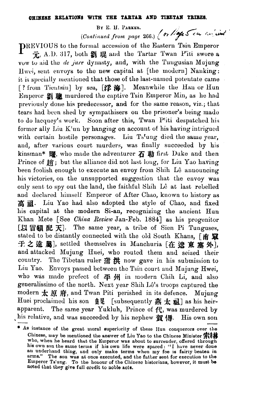## **OBmE8B BELATIOH8 WITH TEE TAETAB AND TIBETAN TBIBeLI.**

BY E. H. PARKER.

BY E. H. PARKER.<br>(Continued from page 266.) (or light 5 cu consider

PREVIOUS to the formal accession of the Eastern Tsin Emperor 元, A.D. 317, both 2 理 and the Tartar Twan Piti swore a vow to aid the *de jure* dynasty, and, with the Tuugusian Mujung Hwei, sent envoys to the new capital at  $[$ the modern $]$  Nanking: it is specially mentioned that those of the last-named potentate came [? from Tieutsin] by sea,  $[\mathcal{P}, \hat{\mathcal{H}}]$ . Meanwhile the Han or Hun 13mperor **g%** murdered the captive Tsin Emperor Min, as he had previously done his predecessor, and for the same reason, viz.; that tears had been shed by sympathisers on the prisoner's being made to do lacquey's work. Soon after this, Twan P'iti despatched his former ally Liu K'un by hanging on account of his having intrigued with certain hostile personages. Liu Ts'ung died the same year, and, after various court murders, was finally succeeded by his kinsman\* | 图, who made the adventurer  $\boldsymbol{\bar{A}}$  **勒** first Duke and then Prince of  $#$ ; but the alliance did not last long, for Liu Yao having been foolish enough to execute an envoy from Shih Lê announcing his victories, on the unsupported suggestion that the envoy was only sent to spy out the land, the faithful Shih Lê at last rebelled and declared himself Emperor of After Chao, known to history as 高祖. Liu Yao had also adopted the style of Chao, and fixed liis capital **at** the modern Si-an, recognizing the ancient Hun Khan Mete [See *China Review Jan-Feb. 1884*] as his progenitor [以冒顧 配 天]. The same year, a tribe of Sien Pi Tunguses, stated to be distantly connected with the old South Khans, [南 童 子之遠圖, settled themselves in Manchuria [在遼東塞外], and attacked Mujung Huei, who routed them and seized their country. The Tibetan ruler **y&** now gave in his submission to Liu Yao. Envoys passed between the Tsin court and Mujnng Hwei, who was made prefect of  $\Phi$   $\mathbb{H}$  in modern Chih Li, and also generalissimo of the north. Next year Shih Lê's troops captured the modern  $\pm$   $\beta$ ,  $\dot{\beta}$ , and Twan Piti perished in its defence. Mujung Huei proclaimed his son 皇晃 [subsequently 燕 太 祖] as his heirapparent. The same year Yukluh, Prince of  $f_{\tau}^{2}$ , was murdered by ,his Huei pro<br>Huei pro<br>pparent<br>As instants relative, and was succeeded by his nephew **賀** 憳. His own son Huei proclaimed his son  $\frac{4}{2}$  [subsequently  $\frac{4}{10}$ ,  $\frac{1}{40}$  as his heir-<br>apparent. The same year Yukluh, Prince of  $f'$ , was murdered by<br>his relative, and was succeeded by his nephew  $\frac{20}{10}$   $\frac{1}{10}$ . His

<sup>&</sup>lt;sup>\*</sup> As instance of the great moral superiority of these Hun conquerors over the Chinese, may be mentioned the answer of Liu Yao to the Chinese Minister  $\ddot{\mathbf{F}}$ who, when he heard that the Emperor was about to surrender, offered through his own son the same terms if his own life were spared: "I have never done an underhand thing, and only make terms when my foe is fairly beaten in arms." The sou was at once executed, and the father sent for execution to the Emperor Ts'ung. To the honour of the Chinese historians, however, it must be **notod Lhat** thoy **give** full orcdit to noble **acta.**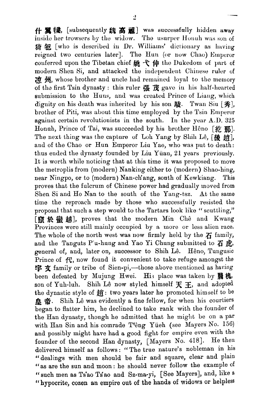# f#, [subsequently **a]** was successfully hidden **away**  inside her trowsers by the widow. The usurper Honuh was son of 猪 轭 [who is described in Dr. Williams' dictionary as having reigned two centuries later]. The Hun (or now Chao) Emperor conferred upon the Tibetan chief  $\sharp \sharp \dashleftarrow \uparrow \sharp$  ( $\sharp \sharp$  the Dukedom of part of modern Shen Si, and attacked the independent Chinese ruler of  $\mathbb{R}$   $\mathbb{H}$ , whose brother and uncle had remained loyal to the memory of tlis first Tsin dynasty : this ruler **\$E** gave in his half-hearled submission to the Huns, and was created Prince of Liang, which dignity on his death was inherited by his son  $\mathbb{H}$ . Twan Siu  $\{\mathcal{F}_n\}$ , brother of Piti, was about this time employed by the Tsin Emperor against certain rovolutiouists in the south. In the year **A.D. 325**  Honah, Prince of Tai, was succeeded by his brother Heno [紇 **那**]. The next thing was the capture of Loh Yang by Sluih Lê, [後 趙], and of the Chao or Hun Emperor Liu Yao, who was put to death: thus ended the dynasty founded by Liu Yiiau, 21 years previously. It is worth while noticing that at this time it was proposed to move the metroplis from (modern) Nanking either to (modern) Shao-hing, near Ningpo, or to (modern) Nan-ch'ang, south of Kewkiang. This proves that the fulcrum of Chinese power had gradually moved from Shen Si and Ho Nan to the south of the Yang-tsx. At the same time the reproach made by those who successfully resisted the proposal that such a step would to the Tartars look like "scuttling,"<br>[竄於蠻越], proves that the modern Min Chê and Kwang Provinces were still mainly occupied by a more or less alien race. The whole of the north west was now firmly held by the  $E$  family, and the Tanguts P'u-hung and Yao Yi Chung submitted to 石虎, general of, and, later on, successor to Shih Lê. Hêno, Tungusic Prince of **ff,** now found it convenient to take refuge amongst the 字  $\hat{\mathbf{\tau}}$  family or tribe of Sien-pi,—those above mentioned as having been defeated by Mujung Hwei. His place was taken by **翳槐**, son of Yuh-luh. Shih Lê now styled himself  $\mathcal{F}$   $\mathcal{F}$ , and adopted the dynastic style of  $#$ : two years later he promoted himself to be **皇帝**. Shih Lê was evidently a fine fellow, for when his courtiers began to flatter him, he declined to take rank with the founder of the Han dynasty, though he admitted that he might be on a par with Han Sin and his comrade T'êng Yüeh (see Mayers No. 156) and possibly might have had a good fight for empire even with the founder of the second Han dynasty,  $[Mayers\ No. 418]$ . He then delivered himself as follows: "The true nature's nobleman in his "dealings with men should be fair and square, clear and plain "as are the sun and moon : he should never follow the example of " such men as Ts'ao Ts'ao and Sz-ma-yi, [See Mayers], and, like a "hypocrite, cozen **an** empire out of the **handa** of widows or helpless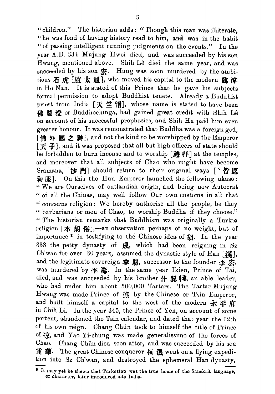"children." The historian adds: "Though this man was illiterate, "he was fond of having history read to him, and was in the habit (( of passing intelligent running judgments on the events." **Iu** the year A.D. 334 Mujung Hwei died, and was succeeded by his son Hwang, mentioned above. Shih Lê died the same year, and was succeeded by his son  $x$ . Hung was soon murdered by the ambitious  $\overline{A}$  虎 [趙 太 祖], who moved his capital to the modern 色 渣 in Ho Nau. It is stated of this Prince that he gave his subjects formal permission to adopt Buddhist tenets. Already a Buddhist priest from India  $[\mathcal{F} \stackrel{\text{def}}{=} \{ \mathbf{f} \}]$ , whose name is stated to have been **佛圖潛** or Buddhochinga, had gained great credit with Shih Lê on account of his successful prophecies, and Bhih Hu paid him eveu greater honour. It was remonstrated that Buddha was a foreign god, [佛 外 國 之 神], and not the kind to be worshipped by the Emperor  $\mathcal{F}$  **F**, and it was proposed that all but high officers of state should be forbidden to burn incense and to worship [禮拜] at the temples, and moreover that all subjects of Chao who might have become Sramana,  $[\mathcal{W}^{\text{PI}}]$  should return to their original ways  $[? \; \mathcal{B} \; \mathcal{W}]$  $\bar{m}$  m. On this the Hun Emperor launched the following ukase: " We are Ourselves of outlandish origin, and being now Autocrat " of all the Chinas, may well follow Our own customs in all that " concerns religion: We hereby authorise all the people, be they " barbarians or men of Chao, to worship Buddha if they choose." " The historian remarks that Buddhism was originally a Turkio religion  $|\nightharpoonup$  **#**  $\hat{H}$   $\hat{B}$ ,  $\rightarrow$  an observation perhaps of no weight, but of importance  $*$  in testifying to the Chinese idea of  $#$ . In the year **<sup>338</sup>**the petty dynasty of &, which had been reigning in **Bz**  Ch'wan for over 30 years, assumed the dynastic style of Han [進], and the legitimate sovereign  $\triangleq$  **#**, successor to the founder  $\triangleq$   $\triangleq$ , was murdered by **z& a.** In the same year Ikien, Prince of Tai, died, and was succeeded by his brother  $f$ -  $\mathbb{R}$   $\mathbb{R}$ , an able leader, who had under him about 500,000 Tartars. The Tartar Mujung Hwang was made Prince of  $\frac{1}{2}$  by the Chinese or Tsin Emperor, and built himself a capital to the west of the modern  $\mathbf{\vec{x}} \times \mathbf{\vec{F}}$ in Chih Li. In the year 345, the Prince of Yen, on account of some portent, abandoned the Tsin calendar, and dated that year the 12th of his own reign. Chang Chiin took to himself the title of Prince of  $\partial \vec{r}$ , and Yao Yi-chung was made generalissimo of the forces of Chao. Chang Chun died soon after, and was succeeded by his son 重 華. The great Chinese conqueror 桓 温 went on a flying expedition into Sz Ch'wan, and destroyed the ephemeral Han dynasty,

or character, later introduced into India.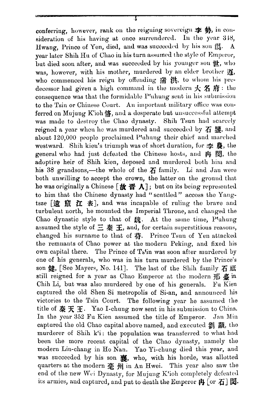conferring, however, rank on the reigning sovereign  $\mathbf{\ddot{F}}\mathbf{\ddot{B}}$ , in consideration of his having at once surrendered. In the year 318, Hwang, Prince of Yen, died, and was succeeded by his son ff. A year later Shih Hu of Chao in his turn assumed the style of Emperor. but died soon after, and was succeeded by his younger son  $\mathbf{H}$ , who was, however, with his mother, murdered by an elder brother it. who commenced his reign by offending 湍 洪, to whom his predecessor had given a high command in the modern  $\mathcal{H}$   $\mathcal{H}$  if : the consequence was that the formidable P'uhung sent in his submission to the Tsin or Chinese Court. An important military office was conferred on Mujung K'ich K, and a desperate but unsuccessful attempt was made to destroy the Chao dynasty. Shih Tsun had scarcely reigned a year when he was murdered and succeeded by  $\boldsymbol{\mathcal{F}}$  \$. and about 120,000 people proclaimed Ptuhung their chief and marched westward. Shih kieu's triumph was of short duration, for  $\mathbf{\ddot{P}}$ , the general who had just defeated the Chinese hosts, and 冉 閔, the adoptive heir of Shih kien, deposed and murdered both him and his 38 grandsons,—the whole of the  $\vec{A}$  family. Li and Jan were both unwilling to accept the crown, the latter on the ground that he was originally a Chinese  $[\mathbf{\#} \mathbf{\#} \Lambda]$ ; but on its being represented to him that the Chinese dynasty had "scuttled" accoss the Yangtsze [遠 竄 江 表], and was incapable of ruling the brave and turbulent north, he mounted the Imperial Throne, and changed the Chao dynastic style to that of  $\mathfrak{M}$ . At the same time, Ptuhung assumed the style of  $\Xi \cong \Xi$ , and, for certain superstitious reasons, changed his surname to that of 苻. Prince Tsun of Yen attacked the remnants of Chao power at the modern Peking, and fixed his own capital there. The Prince of Ts'in was soon after murdered by one of his generals, who was in his turn murdered by the Prince's son 健, [See Mayers, No. 141]. The last of the Shih family 石 祗 still reigned for a year as Chao Emperor at the modern  $\frac{1}{10}$   $\frac{1}{5}$  in Chih Li, but was also murdered by one of his generals. Fu Kien captured the old Shen Si metropolis of Si-an, and announced his victories to the Tsin Court. The following year he assumed the title of  $\# \# \#$ . Yao I-chung now sent in his submission to China. In the year 352 Fu Kien assumed the title of Emperor. Jan Min captured the old Chao capital above named, and executed 劉 顯, the murderer of Shih k'i: the population was transferred to what had been the more recent capital of the Chao dynasty, namely the modern Lin-chang in Ho Nan. Yao Yi-chung died this year, and was succeeded by his son \$8, who, with his horde, was allotted quarters at the modern 臺 州 in An Hwei. This year also saw the end of the new Wei Dynasty, for Mujung K'ioh completely defeated its armies, and captured, and put to death the Emperor  $\sharp$  [or  $\mathcal{F}$ ]  $\mathbb{S}$ .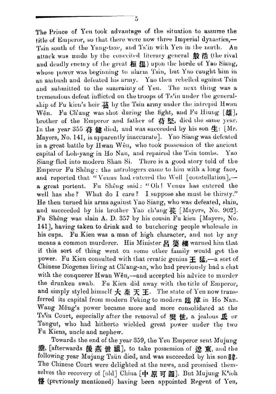The Prince of Yen took advantage of the situation to assume the title of Emperor, so that there were now three Imperial dynasties,— Tsin south of the Yang-tsze, and Ts'in with Yen in the north.  $An$ attack was made by the conceited literary general 殷 浩 (the rival and deadly enemy of the great 桓 温) upon the horde of Yao Siang, whose power was beginning to alarm Tsin, but Yao caught him in an ambush and defeated his army. Yao then rebelled against Tsin and submitted to the suzerainty of Yen. The next thing was a tremendous defeat inflicted on the troops of Ts'in under the generalship of Fu kien's heir 墓 by the Tsin army under the intrepid Hwan Fu Chang was shot during the fight, and Fu Hiung [雄], Wên. brother of the Emperor and father of 苻堅, died the same year. In the year 355  $\ddot{a}$   $\ddot{a}$  died, and was succeeded by his son  $\underline{4}$ : [Mr. Mayers, No. 141, is apparently inaccurate]. Yao Siang was defeated in a great battle by Hwan Wên, who took possession of the ancient capital of Loh-yang in Ho Nan, and repaired the Tsin tombs. Yao Siang fled into modern Shan Si. There is a good story told of the Emperor Fu Shêng : the astrologers came to him with a long face, and reported that "Venus had entered the Well [constellation],a great portent. Fu Shêng said: "Oh! Venus has entered the well has she? What do I care? I suppose she must be thirsty." He then turned his arms against Yao Siang, who was defeated, slain, and succeeded by his brother Yao ch'ang 萇 [Mayers, No. 902]. Fu Shêng was slain A. D. 357 by his cousin Fu kien [Mayers, No. 141], having taken to drink and to butchering people wholesale in his cups. Fu Kien was a man of high character, and not by any means a common murderer. His Minister 呂 婆 樓 warned him that if this sort of thing went on some other family would get the power. Fu Kien consulted with that erratic genius  $\pm$   $\mathcal{I}_{\mathbf{L}}$ ,—a sort of Chinese Diogenes living at Chang-an, who had previously had a chat with the conquerer Hwan Wên,—and accepted his advice to murder the drunken swab. Fu Kien did away with the title of Emperor, and simply styled himself  $\frac{1}{\mathcal{K}} \mathbb{R} \times \mathbb{H}$ . The state of Yen now transferred its capital from modern Peking to modern 臨 漳 in Ho Nan. Wang Mêng's power became more and more consolidated at the Ts'in Court, especially after the removal of  $#_E$   $#_E$ , a jealous  $#_E$  or Tangut, who had hitherto wielded great power under the two Fu Kiens, uncle and nephew.

Towards the end of the year 359, the Yen Emperor sent Mujung 垂, [afterwards 後燕世祖], to take possession of 潦東, and the following year Mujung Tsün died, and was succeeded by his son  $\mathbb{B}$ . The Chinese Court were delighted at the news, and promised themselves the recovery of [old] China [中原可圖]. But Mujung K'ioh 恪 (previously mentioned) having been appointed Regent of Yen,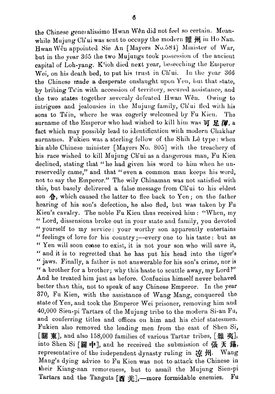the Chinese gene alissimo Hwan Wên did not feel so certain. Meanwhile Mujung Ch'ui was sent to occupy the modern  $m$  **III**  $M$  in Ho Nan. Hwan Wên appointed Sie An [Mayers No.584] Minister of War. but in the year 365 the two Mujungs took possession of the ancient capital of Loh-yang. K'ioh died next year, beseeching the Emperor Wei, on his death bed, to put his trust in Ch'ui. In the year 366 the Chinese made a desperate onslanght upon Yen, but that state, by bribing Ts'in with accession of territory, secured assistance, and the two states together severaly defeated Hwan Wên. Owing to intrigues and jealousies in the Mujung family, Ch'ui fled with his sons to Tsin, where he was eagerly welcomed by Fu Kien. The surname of the Emperor who had wished to kill him was  $\overline{p}$   $\overline{p}$   $\overline{m}$ , a fact which may possibly lead to identification with modern Chakhar surnames. Fukien was a sterling fellow of the Shih Lê type: when his able Chinese minister [Mayers No. 805] with the treachery of his race wished to kill Mujung Ch'ui as a dangerous man, Fu Kien declined, stating that "he had given his word to him when he unreservedly came," and that " even a common man keeps his word, not to say the Emperor." The wily Chinaman was not satisfied with this, but basely delivered a false message from Ch'ui to his eldest son  $\bigoplus$ , which caused the latter to flee back to Yen; on the father hearing of his son's defection, he also fled, but was taken by Fu Kien's cavalry. The noble Fu Kien thus received him : "When, my " Lord, dissensions broke out in your state and family, you devoted " yourself to my service: your worthy son apparently entertains " feelings of love for his country;--every one to his taste: but as " Yen will soon cease to exist, it is not your son who will save it, " and it is to regretted that he has put his head into the tiger's " jaws. Finally, a father is not answerable for his son's crime, nor is " a brother for a brother; why this haste to scuttle away, my Lord?" And he treated him just as before. Confucius himself never behaved better than this, not to speak of any Chinese Emperor. In the year **370,** Fu Kien, with the assistance of Wang Mang, conquered the state of Yen, and took the Emperor Wei prisoner, removing him and 40,000 Sien-pi Tartars of the Mujung tribe to the modern Si-an Fu, and conferring titles and offices on him and his chief statesmen. Fukien also removed the leading men from the east of Shen Si, **[Bl g],** and also 158,000 families of various Tartar tribes, [#& **g],**  into Shen Si  $[\mathbb{R} +]$ , and he received the submission of  $\mathbb{R} \times \mathbb{S}$ , representative of the independent dynasty ruling in  $\vec{\mathbf{H}}$ . Wang Mang's dying advice to Fu Kien was not to attack the Chinese in their Kiang-nan remoteness, but to assail the Mujung Sien-pi Tartars and the Tanguts [西 羌],—more formidable enemies. Fu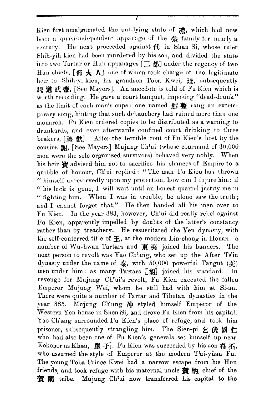Kien first amalgamated the out-lying state of 凉, which had now been a quasi-independent appanage of the  $#$  family for nearly  $a$ century. He next proceeded against  $f^{\mu}_{\nu}$  in Shan Si, whose ruler Shih-yih-kien had been murdered by his son, and divided the state into two Tartar or Hun appanages  $[\Box \text{ m}]$  under the regency of two Hun chiefs, [部 大 人], one of whom took charge of the legitimate heir to Shih-yi-kien, his grandson Toba Kwei, H, subsequently 魏 道 武 帝, [See Mayers]. An anecdote is told of Fu Kien which is worth recording. He gave a court banquet, imposing "dead-drunk" as the limit of each man's cups: one named an  $\mathbb{R}$  sang an extemporary song, hinting that such debauchery had ruined more than one monarch. Fu Kien ordered copies to be distributed as a warning to drunkards, and ever afterwards confined court drinking to three beakers, [禮 飮]. After the terrible rout of Fu Kien's host by the cousins 謝, [See Mayers] Mujung Ch'ui (whose command of 30,000 men were the sole organized survivors) behaved very nobly. When his heir 審 advised him not to sacrifice his chances of Empire to a quibble of honour, Ch'ui replied: "The man Fu Kien has thrown " himself unreservedly upon my protection, how can I injure him: if " his luck is gone, I will wait until an honest quarrel justify me in " fighting him. When I was in trouble, he alone saw the truth; and I cannot forget that." He then handed all his men over to Fu Kien. In the year 383, however, Ch'ui did really rebel against Fu Kien, apparently impelled by doubts of the latter's constancy rather than by treachery. He resuscitated the Yen dynasty, with the self-conferred title of  $\pm$ , at the modern Lin-chang in Honan: a number of Wu-hwan Tartars and 東夷 joined his banners. The next person to revolt was Yao Ch'ang, who set up the After Ts'in dynasty under the name of  $\bar{\mathbf{\mathcal{R}}}$ , with 50,000 powerful Tangut  $(\dot{\mathbf{\mathcal{X}}})$ men under him: as many Tartars [胡] joined his standard. In revenge for Mujung Ch'ui's revolt, Fu Kien executed the fallen Emperor Mujung Wei, whom he still had with him at Si-an. There were quite a number of Tartar and Tibetan dynasties in the year 385. Mujung Ch'ung  $\#$  styled himself Emperor of the Western Yen house in Shen Si, and drove Fu Kien from his capital. Yao Ch'ang surrounded Fu Kien's place of refuge, and took him prisoner, subsequently strangling him. The Sien-pi  $\leq$   $\bigoplus$   $\mathbb{Z}$   $\subset$ who had also been one of Fu Kien's generals set himself up near Kokonor as Khan,  $[\mathbb{H} +]$ . Fu Kien was succeeded by his son  $\ddot{\mathbf{a}}$  K, who assumed the style of Emperor at the modern T'ai-yüan Fu. The young Toba Prince Kwei had a narrow escape from his Hun friends, and took refuge with his maternal uncle 賀納, chief of the 賀蘭 tribe. Mujung Ch'ui now transferred his capital to the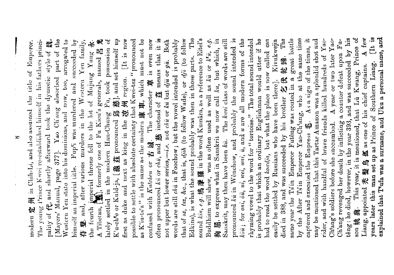$[It is$ explained that Tufa was a surname, and Uku a personal name, and son 姚 興. This year, it is mentioned, that Lii Kwang, Prince of Liang, appointed 禿 髮 烏 紙 as one of his chief captains. A few K'u-ch'e or Kuld-ja, [龜茲 pronounced 邱 慈], and set himself up **花** means that it is (to follow Wade), or  $dj\ddot{v}$  (to follow Edkins), is what the sound probably was then in those parts. The sound  $\overline{k}u$ ,  $e.g.$ 鳩摩羅 in the word Kumâra, as a reference to Eitel's Buddhism will shew, was as often used as well as kü or k'ü, e.g. 拘屈, to express what in Sanskrit we now call ku, but which, in pronounced kü in Wênchow, and probably the sound intended is köü; for oui, öü, ui, uei, uni, ü, and u are all modern forms of the rhyming vowel to the word for "tortoise." The total sound intended is probably that which an ordinary Englishman would utter if he had to read the word koucdia, but what the place is now called can easily be settled by Russians who have been there]. Kivukwejin The same year the Ts'in Emperor Futêng was routed in a great battle by the After Tsin Emperor Yao-Ch'ang, who at the same time captured and executed the Empress  $E$ . As a sign of the times, it may be mentioned that this Tartar Amazon was a splendid shot and A year or two later Yaotêng: he died, however, in the year 393, and was succeeded by his [Mayers' Manual, page 377]. Yao Ch'ang absorbed part of the  $\therefore$  the fourth imperial throne fell to the lot of Mujung Yung  $\tilde{\mathbf{x}}$ .<br>A Tilotan,  $\begin{bmatrix} \mathbf{x} \\ \mathbf{x} \end{bmatrix}$ , formerly one of Fu Kien's generals, named  $\mathbb{E}$   $\mathbf{x}$ lately settled in the modern Han-Chung Fu, took possession of  $[It is now]$ possible to settle with absolute certainty that Kwei-tsz "pronounced as K'iu-ts'z" is the same as the modern  $\oint$   $\ddot{E}$   $\ddot{F}$ , which must not be confused with Kutchen or 古城. The character 車 is even now not upper but lower series,-i.e. not chi or ki but dju or gü. Both words are still chü in Foochow; but the vowel intended is probably Sanskrit, may then have been kü. The kvei class of words are still rider, and with handful of brave friends killed hundreds of Yao-Ch'ang revenged her death by inflicting a counter defeat upon Fupality of ft, and shortly afterward took the dynastic style of M. Western Yen state into his dominions, and now, too, arrogated to himself an imperial title. Fup'i was murdered and succeeded by 苻登, and, after various murders in the Western Yen family, The young Prince Kwei re-established himself in his fathers princimodern 定 州 in Chih-Li, and also assumed the title of Emperor. died in 388, and was succeeded by his brother 乞伏乾蹄. Southern Liang. first as duke and next as king in the 凉州 region. often pronounced kill or chill, and 慈 instead of years later this man set up as Prince of Chang's soldiers before she succumbed. that of  $sz$ ,  $tsz$ ,  $\&c$ ., that is,  $djih$ 

 $\frac{1}{2}$